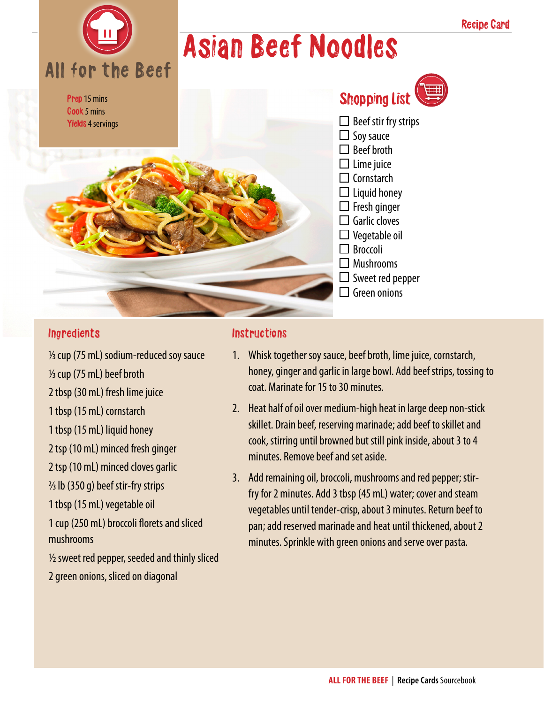## Asian Beef Noodles

Prep 15 mins Cook 5 mins Yields 4 servings

All for the Beef

### Shopping List



- $\square$  Beef stir fry strips
- $\Box$  Soy sauce
- $\Box$  Beef broth
- $\square$  Lime juice
- $\square$  Cornstarch
- $\Box$  Liquid honey
- $\Box$  Fresh ginger  $\Box$  Garlic cloves
- $\square$  Vegetable oil
- □ Broccoli
- 
- $\Box$  Mushrooms
- $\Box$  Sweet red pepper
- $\Box$  Green onions

#### **Ingredients**

1/3 cup (75 mL) sodium-reduced soy sauce 1/3 cup (75 mL) beef broth

2 tbsp (30 mL) fresh lime juice

1 tbsp (15 mL) cornstarch

1 tbsp (15 mL) liquid honey

2 tsp (10 mL) minced fresh ginger

2 tsp (10 mL) minced cloves garlic

 $\frac{2}{3}$  lb (350 g) beef stir-fry strips

1 tbsp (15 mL) vegetable oil

1 cup (250 mL) broccoli florets and sliced mushrooms

 $\frac{1}{2}$  sweet red pepper, seeded and thinly sliced

#### 2 green onions, sliced on diagonal

#### Instructions

- 1. Whisk together soy sauce, beef broth, lime juice, cornstarch, honey, ginger and garlic in large bowl. Add beef strips, tossing to coat. Marinate for 15 to 30 minutes.
- 2. Heat half of oil over medium-high heat in large deep non-stick skillet. Drain beef, reserving marinade; add beef to skillet and cook, stirring until browned but still pink inside, about 3 to 4 minutes. Remove beef and set aside.
- 3. Add remaining oil, broccoli, mushrooms and red pepper; stirfry for 2 minutes. Add 3 tbsp (45 mL) water; cover and steam vegetables until tender-crisp, about 3 minutes. Return beef to pan; add reserved marinade and heat until thickened, about 2 minutes. Sprinkle with green onions and serve over pasta.